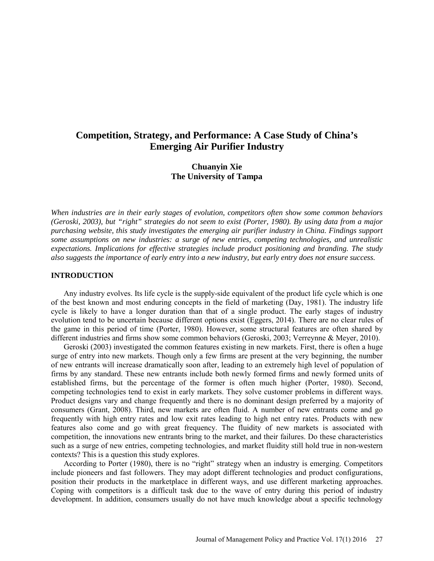# **Competition, Strategy, and Performance: A Case Study of China's Emerging Air Purifier Industry**

## **Chuanyin Xie The University of Tampa**

*When industries are in their early stages of evolution, competitors often show some common behaviors (Geroski, 2003), but "right" strategies do not seem to exist (Porter, 1980). By using data from a major purchasing website, this study investigates the emerging air purifier industry in China. Findings support some assumptions on new industries: a surge of new entries, competing technologies, and unrealistic expectations. Implications for effective strategies include product positioning and branding. The study also suggests the importance of early entry into a new industry, but early entry does not ensure success.*

#### **INTRODUCTION**

Any industry evolves. Its life cycle is the supply-side equivalent of the product life cycle which is one of the best known and most enduring concepts in the field of marketing (Day, 1981). The industry life cycle is likely to have a longer duration than that of a single product. The early stages of industry evolution tend to be uncertain because different options exist (Eggers, 2014). There are no clear rules of the game in this period of time (Porter, 1980). However, some structural features are often shared by different industries and firms show some common behaviors (Geroski, 2003; Verreynne & Meyer, 2010).

Geroski (2003) investigated the common features existing in new markets. First, there is often a huge surge of entry into new markets. Though only a few firms are present at the very beginning, the number of new entrants will increase dramatically soon after, leading to an extremely high level of population of firms by any standard. These new entrants include both newly formed firms and newly formed units of established firms, but the percentage of the former is often much higher (Porter, 1980). Second, competing technologies tend to exist in early markets. They solve customer problems in different ways. Product designs vary and change frequently and there is no dominant design preferred by a majority of consumers (Grant, 2008). Third, new markets are often fluid. A number of new entrants come and go frequently with high entry rates and low exit rates leading to high net entry rates. Products with new features also come and go with great frequency. The fluidity of new markets is associated with competition, the innovations new entrants bring to the market, and their failures. Do these characteristics such as a surge of new entries, competing technologies, and market fluidity still hold true in non-western contexts? This is a question this study explores.

According to Porter (1980), there is no "right" strategy when an industry is emerging. Competitors include pioneers and fast followers. They may adopt different technologies and product configurations, position their products in the marketplace in different ways, and use different marketing approaches. Coping with competitors is a difficult task due to the wave of entry during this period of industry development. In addition, consumers usually do not have much knowledge about a specific technology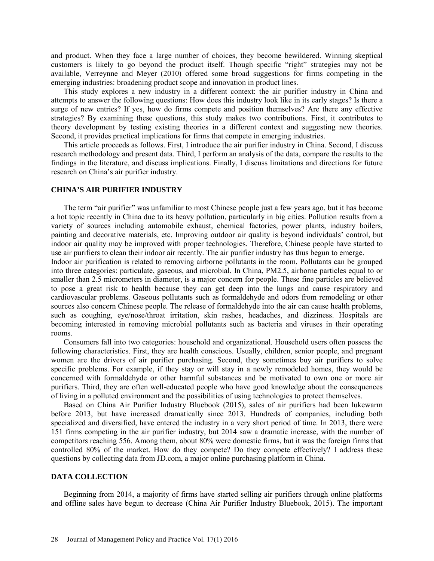and product. When they face a large number of choices, they become bewildered. Winning skeptical customers is likely to go beyond the product itself. Though specific "right" strategies may not be available, Verreynne and Meyer (2010) offered some broad suggestions for firms competing in the emerging industries: broadening product scope and innovation in product lines.

This study explores a new industry in a different context: the air purifier industry in China and attempts to answer the following questions: How does this industry look like in its early stages? Is there a surge of new entries? If yes, how do firms compete and position themselves? Are there any effective strategies? By examining these questions, this study makes two contributions. First, it contributes to theory development by testing existing theories in a different context and suggesting new theories. Second, it provides practical implications for firms that compete in emerging industries.

This article proceeds as follows. First, I introduce the air purifier industry in China. Second, I discuss research methodology and present data. Third, I perform an analysis of the data, compare the results to the findings in the literature, and discuss implications. Finally, I discuss limitations and directions for future research on China's air purifier industry.

#### **CHINA'S AIR PURIFIER INDUSTRY**

The term "air purifier" was unfamiliar to most Chinese people just a few years ago, but it has become a hot topic recently in China due to its heavy pollution, particularly in big cities. Pollution results from a variety of sources including automobile exhaust, chemical factories, power plants, industry boilers, painting and decorative materials, etc. Improving outdoor air quality is beyond individuals' control, but indoor air quality may be improved with proper technologies. Therefore, Chinese people have started to use air purifiers to clean their indoor air recently. The air purifier industry has thus begun to emerge.

Indoor air purification is related to removing airborne pollutants in the room. Pollutants can be grouped into three categories: particulate, gaseous, and microbial. In China, PM2.5, airborne particles equal to or smaller than 2.5 micrometers in diameter, is a major concern for people. These fine particles are believed to pose a great risk to health because they can get deep into the lungs and cause respiratory and cardiovascular problems. Gaseous pollutants such as formaldehyde and odors from remodeling or other sources also concern Chinese people. The release of formaldehyde into the air can cause health problems, such as coughing, eye/nose/throat irritation, skin rashes, headaches, and dizziness. Hospitals are becoming interested in removing microbial pollutants such as bacteria and viruses in their operating rooms.

Consumers fall into two categories: household and organizational. Household users often possess the following characteristics. First, they are health conscious. Usually, children, senior people, and pregnant women are the drivers of air purifier purchasing. Second, they sometimes buy air purifiers to solve specific problems. For example, if they stay or will stay in a newly remodeled homes, they would be concerned with formaldehyde or other harmful substances and be motivated to own one or more air purifiers. Third, they are often well-educated people who have good knowledge about the consequences of living in a polluted environment and the possibilities of using technologies to protect themselves.

Based on China Air Purifier Industry Bluebook (2015), sales of air purifiers had been lukewarm before 2013, but have increased dramatically since 2013. Hundreds of companies, including both specialized and diversified, have entered the industry in a very short period of time. In 2013, there were 151 firms competing in the air purifier industry, but 2014 saw a dramatic increase, with the number of competitors reaching 556. Among them, about 80% were domestic firms, but it was the foreign firms that controlled 80% of the market. How do they compete? Do they compete effectively? I address these questions by collecting data from JD.com, a major online purchasing platform in China.

#### **DATA COLLECTION**

Beginning from 2014, a majority of firms have started selling air purifiers through online platforms and offline sales have begun to decrease (China Air Purifier Industry Bluebook, 2015). The important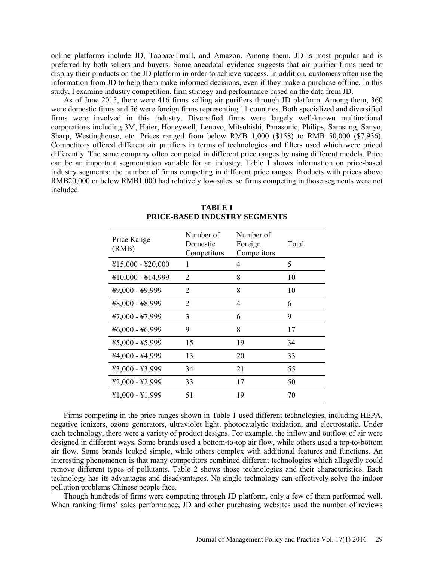online platforms include JD, Taobao/Tmall, and Amazon. Among them, JD is most popular and is preferred by both sellers and buyers. Some anecdotal evidence suggests that air purifier firms need to display their products on the JD platform in order to achieve success. In addition, customers often use the information from JD to help them make informed decisions, even if they make a purchase offline. In this study, I examine industry competition, firm strategy and performance based on the data from JD.

As of June 2015, there were 416 firms selling air purifiers through JD platform. Among them, 360 were domestic firms and 56 were foreign firms representing 11 countries. Both specialized and diversified firms were involved in this industry. Diversified firms were largely well-known multinational corporations including 3M, Haier, Honeywell, Lenovo, Mitsubishi, Panasonic, Philips, Samsung, Sanyo, Sharp, Westinghouse, etc. Prices ranged from below RMB 1,000 (\$158) to RMB 50,000 (\$7,936). Competitors offered different air purifiers in terms of technologies and filters used which were priced differently. The same company often competed in different price ranges by using different models. Price can be an important segmentation variable for an industry. Table 1 shows information on price-based industry segments: the number of firms competing in different price ranges. Products with prices above RMB20,000 or below RMB1,000 had relatively low sales, so firms competing in those segments were not included.

| Price Range<br>(RMB) | Number of<br>Domestic<br>Competitors | Number of<br>Foreign<br>Competitors | Total |
|----------------------|--------------------------------------|-------------------------------------|-------|
| $¥15,000 - ¥20,000$  | 1                                    | 4                                   | 5     |
| ¥10,000 - ¥14,999    | 2                                    | 8                                   | 10    |
| ¥9,000 - ¥9,999      | 2                                    | 8                                   | 10    |
| ¥8,000 - ¥8,999      | 2                                    | 4                                   | 6     |
| ¥7,000 - ¥7,999      | 3                                    | 6                                   | 9     |
| $46,000 - 46,999$    | 9                                    | 8                                   | 17    |
| ¥5,000 - ¥5,999      | 15                                   | 19                                  | 34    |
| ¥4,000 - ¥4,999      | 13                                   | 20                                  | 33    |
| $43,000 - 43,999$    | 34                                   | 21                                  | 55    |
| $42,000 - 42,999$    | 33                                   | 17                                  | 50    |
| $¥1,000 - ¥1,999$    | 51                                   | 19                                  | 70    |

**TABLE 1 PRICE-BASED INDUSTRY SEGMENTS**

Firms competing in the price ranges shown in Table 1 used different technologies, including HEPA, negative ionizers, ozone generators, ultraviolet light, photocatalytic oxidation, and electrostatic. Under each technology, there were a variety of product designs. For example, the inflow and outflow of air were designed in different ways. Some brands used a bottom-to-top air flow, while others used a top-to-bottom air flow. Some brands looked simple, while others complex with additional features and functions. An interesting phenomenon is that many competitors combined different technologies which allegedly could remove different types of pollutants. Table 2 shows those technologies and their characteristics. Each technology has its advantages and disadvantages. No single technology can effectively solve the indoor pollution problems Chinese people face.

Though hundreds of firms were competing through JD platform, only a few of them performed well. When ranking firms' sales performance, JD and other purchasing websites used the number of reviews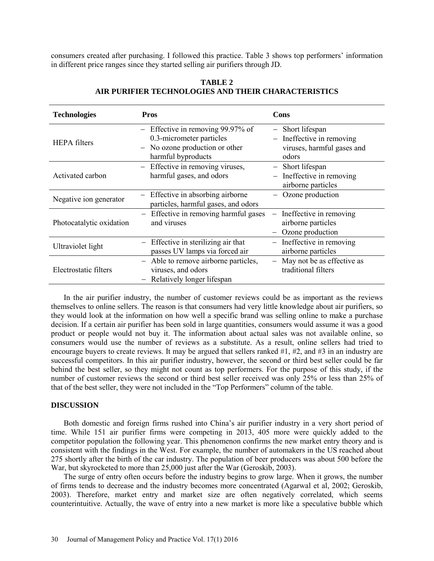consumers created after purchasing. I followed this practice. Table 3 shows top performers' information in different price ranges since they started selling air purifiers through JD.

| <b>Technologies</b>      | <b>Pros</b>                                                                                                                            | Cons                                                                             |  |
|--------------------------|----------------------------------------------------------------------------------------------------------------------------------------|----------------------------------------------------------------------------------|--|
| <b>HEPA</b> filters      | Effective in removing 99.97% of<br>0.3-micrometer particles<br>No ozone production or other<br>$\qquad \qquad -$<br>harmful byproducts | Short lifespan<br>Ineffective in removing<br>viruses, harmful gases and<br>odors |  |
| Activated carbon         | - Effective in removing viruses,<br>harmful gases, and odors                                                                           | - Short lifespan<br>- Ineffective in removing<br>airborne particles              |  |
| Negative ion generator   | Effective in absorbing airborne<br>particles, harmful gases, and odors                                                                 | Ozone production                                                                 |  |
| Photocatalytic oxidation | Effective in removing harmful gases<br>$\qquad \qquad -$<br>and viruses                                                                | Ineffective in removing<br>airborne particles<br>Ozone production                |  |
| Ultraviolet light        | Effective in sterilizing air that<br>$\qquad \qquad -$<br>passes UV lamps via forced air                                               | Ineffective in removing<br>airborne particles                                    |  |
| Electrostatic filters    | - Able to remove airborne particles,<br>viruses, and odors<br>Relatively longer lifespan                                               | May not be as effective as<br>traditional filters                                |  |

### **TABLE 2 AIR PURIFIER TECHNOLOGIES AND THEIR CHARACTERISTICS**

In the air purifier industry, the number of customer reviews could be as important as the reviews themselves to online sellers. The reason is that consumers had very little knowledge about air purifiers, so they would look at the information on how well a specific brand was selling online to make a purchase decision. If a certain air purifier has been sold in large quantities, consumers would assume it was a good product or people would not buy it. The information about actual sales was not available online, so consumers would use the number of reviews as a substitute. As a result, online sellers had tried to encourage buyers to create reviews. It may be argued that sellers ranked #1, #2, and #3 in an industry are successful competitors. In this air purifier industry, however, the second or third best seller could be far behind the best seller, so they might not count as top performers. For the purpose of this study, if the number of customer reviews the second or third best seller received was only 25% or less than 25% of that of the best seller, they were not included in the "Top Performers" column of the table.

#### **DISCUSSION**

Both domestic and foreign firms rushed into China's air purifier industry in a very short period of time. While 151 air purifier firms were competing in 2013, 405 more were quickly added to the competitor population the following year. This phenomenon confirms the new market entry theory and is consistent with the findings in the West. For example, the number of automakers in the US reached about 275 shortly after the birth of the car industry. The population of beer producers was about 500 before the War, but skyrocketed to more than 25,000 just after the War (Geroskib, 2003).

The surge of entry often occurs before the industry begins to grow large. When it grows, the number of firms tends to decrease and the industry becomes more concentrated (Agarwal et al, 2002; Geroskib, 2003). Therefore, market entry and market size are often negatively correlated, which seems counterintuitive. Actually, the wave of entry into a new market is more like a speculative bubble which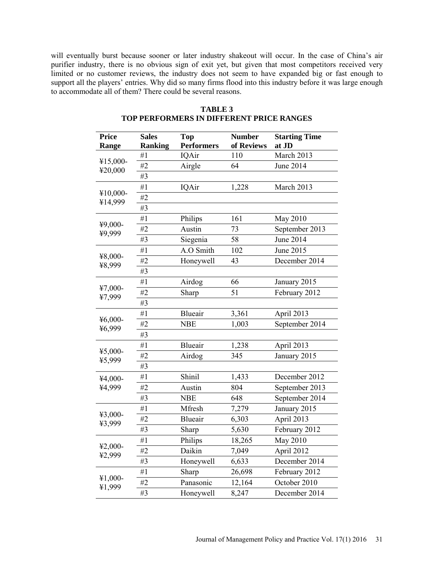will eventually burst because sooner or later industry shakeout will occur. In the case of China's air purifier industry, there is no obvious sign of exit yet, but given that most competitors received very limited or no customer reviews, the industry does not seem to have expanded big or fast enough to support all the players' entries. Why did so many firms flood into this industry before it was large enough to accommodate all of them? There could be several reasons.

| <b>Price</b>         | <b>Sales</b>   | <b>Top</b>        | <b>Number</b> | <b>Starting Time</b> |
|----------------------|----------------|-------------------|---------------|----------------------|
| Range                | <b>Ranking</b> | <b>Performers</b> | of Reviews    | at JD                |
| ¥15,000-<br>¥20,000  | #1             | IQAir             | 110           | March 2013           |
|                      | #2             | Airgle            | 64            | June 2014            |
|                      | #3             |                   |               |                      |
| ¥10,000-<br>¥14,999  | #1             | IQAir             | 1,228         | March 2013           |
|                      | #2             |                   |               |                      |
|                      | #3             |                   |               |                      |
| ¥9,000-<br>¥9,999    | #1             | Philips           | 161           | May 2010             |
|                      | #2             | Austin            | 73            | September 2013       |
|                      | #3             | Siegenia          | 58            | June 2014            |
|                      | #1             | A.O Smith         | 102           | June 2015            |
| ¥8,000-<br>¥8,999    | #2             | Honeywell         | 43            | December 2014        |
|                      | #3             |                   |               |                      |
| $47,000 -$<br>¥7,999 | #1             | Airdog            | 66            | January 2015         |
|                      | #2             | Sharp             | 51            | February 2012        |
|                      | #3             |                   |               |                      |
| $46,000 -$<br>¥6,999 | #1             | Blueair           | 3,361         | April 2013           |
|                      | #2             | <b>NBE</b>        | 1,003         | September 2014       |
|                      | #3             |                   |               |                      |
| ¥5,000-<br>¥5,999    | #1             | <b>Blueair</b>    | 1,238         | April 2013           |
|                      | #2             | Airdog            | 345           | January 2015         |
|                      | #3             |                   |               |                      |
| $44,000-$<br>¥4,999  | #1             | Shinil            | 1,433         | December 2012        |
|                      | #2             | Austin            | 804           | September 2013       |
|                      | #3             | <b>NBE</b>        | 648           | September 2014       |
| $43,000 -$<br>¥3,999 | #1             | Mfresh            | 7,279         | January 2015         |
|                      | #2             | <b>Blueair</b>    | 6,303         | April 2013           |
|                      | #3             | Sharp             | 5,630         | February 2012        |
| $42,000 -$<br>¥2,999 | #1             | Philips           | 18,265        | May 2010             |
|                      | #2             | Daikin            | 7,049         | April 2012           |
|                      | #3             | Honeywell         | 6,633         | December 2014        |
| $¥1,000-$<br>¥1,999  | #1             | Sharp             | 26,698        | February 2012        |
|                      | #2             | Panasonic         | 12,164        | October 2010         |
|                      | #3             | Honeywell         | 8,247         | December 2014        |

### **TABLE 3 TOP PERFORMERS IN DIFFERENT PRICE RANGES**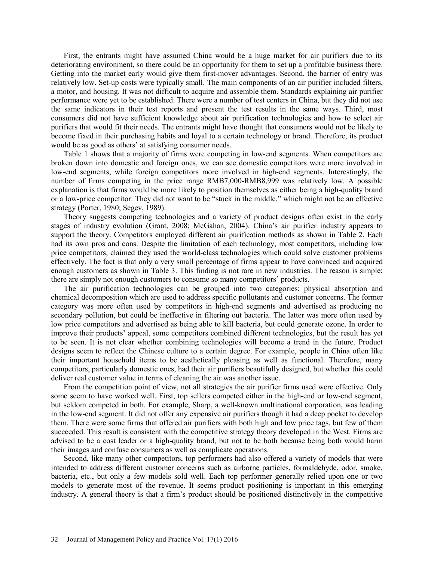First, the entrants might have assumed China would be a huge market for air purifiers due to its deteriorating environment, so there could be an opportunity for them to set up a profitable business there. Getting into the market early would give them first-mover advantages. Second, the barrier of entry was relatively low. Set-up costs were typically small. The main components of an air purifier included filters, a motor, and housing. It was not difficult to acquire and assemble them. Standards explaining air purifier performance were yet to be established. There were a number of test centers in China, but they did not use the same indicators in their test reports and present the test results in the same ways. Third, most consumers did not have sufficient knowledge about air purification technologies and how to select air purifiers that would fit their needs. The entrants might have thought that consumers would not be likely to become fixed in their purchasing habits and loyal to a certain technology or brand. Therefore, its product would be as good as others' at satisfying consumer needs.

Table 1 shows that a majority of firms were competing in low-end segments. When competitors are broken down into domestic and foreign ones, we can see domestic competitors were more involved in low-end segments, while foreign competitors more involved in high-end segments. Interestingly, the number of firms competing in the price range RMB7,000-RMB8,999 was relatively low. A possible explanation is that firms would be more likely to position themselves as either being a high-quality brand or a low-price competitor. They did not want to be "stuck in the middle," which might not be an effective strategy (Porter, 1980; Segev, 1989).

Theory suggests competing technologies and a variety of product designs often exist in the early stages of industry evolution (Grant, 2008; McGahan, 2004). China's air purifier industry appears to support the theory. Competitors employed different air purification methods as shown in Table 2. Each had its own pros and cons. Despite the limitation of each technology, most competitors, including low price competitors, claimed they used the world-class technologies which could solve customer problems effectively. The fact is that only a very small percentage of firms appear to have convinced and acquired enough customers as shown in Table 3. This finding is not rare in new industries. The reason is simple: there are simply not enough customers to consume so many competitors' products.

The air purification technologies can be grouped into two categories: physical absorption and chemical decomposition which are used to address specific pollutants and customer concerns. The former category was more often used by competitors in high-end segments and advertised as producing no secondary pollution, but could be ineffective in filtering out bacteria. The latter was more often used by low price competitors and advertised as being able to kill bacteria, but could generate ozone. In order to improve their products' appeal, some competitors combined different technologies, but the result has yet to be seen. It is not clear whether combining technologies will become a trend in the future. Product designs seem to reflect the Chinese culture to a certain degree. For example, people in China often like their important household items to be aesthetically pleasing as well as functional. Therefore, many competitors, particularly domestic ones, had their air purifiers beautifully designed, but whether this could deliver real customer value in terms of cleaning the air was another issue.

From the competition point of view, not all strategies the air purifier firms used were effective. Only some seem to have worked well. First, top sellers competed either in the high-end or low-end segment, but seldom competed in both. For example, Sharp, a well-known multinational corporation, was leading in the low-end segment. It did not offer any expensive air purifiers though it had a deep pocket to develop them. There were some firms that offered air purifiers with both high and low price tags, but few of them succeeded. This result is consistent with the competitive strategy theory developed in the West. Firms are advised to be a cost leader or a high-quality brand, but not to be both because being both would harm their images and confuse consumers as well as complicate operations.

Second, like many other competitors, top performers had also offered a variety of models that were intended to address different customer concerns such as airborne particles, formaldehyde, odor, smoke, bacteria, etc., but only a few models sold well. Each top performer generally relied upon one or two models to generate most of the revenue. It seems product positioning is important in this emerging industry. A general theory is that a firm's product should be positioned distinctively in the competitive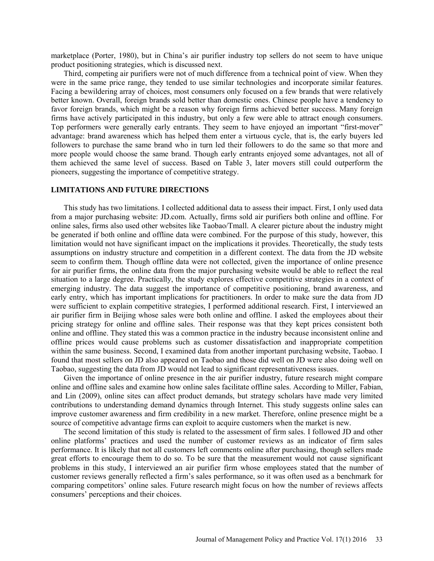marketplace (Porter, 1980), but in China's air purifier industry top sellers do not seem to have unique product positioning strategies, which is discussed next.

Third, competing air purifiers were not of much difference from a technical point of view. When they were in the same price range, they tended to use similar technologies and incorporate similar features. Facing a bewildering array of choices, most consumers only focused on a few brands that were relatively better known. Overall, foreign brands sold better than domestic ones. Chinese people have a tendency to favor foreign brands, which might be a reason why foreign firms achieved better success. Many foreign firms have actively participated in this industry, but only a few were able to attract enough consumers. Top performers were generally early entrants. They seem to have enjoyed an important "first-mover" advantage: brand awareness which has helped them enter a virtuous cycle, that is, the early buyers led followers to purchase the same brand who in turn led their followers to do the same so that more and more people would choose the same brand. Though early entrants enjoyed some advantages, not all of them achieved the same level of success. Based on Table 3, later movers still could outperform the pioneers, suggesting the importance of competitive strategy.

#### **LIMITATIONS AND FUTURE DIRECTIONS**

This study has two limitations. I collected additional data to assess their impact. First, I only used data from a major purchasing website: JD.com. Actually, firms sold air purifiers both online and offline. For online sales, firms also used other websites like Taobao/Tmall. A clearer picture about the industry might be generated if both online and offline data were combined. For the purpose of this study, however, this limitation would not have significant impact on the implications it provides. Theoretically, the study tests assumptions on industry structure and competition in a different context. The data from the JD website seem to confirm them. Though offline data were not collected, given the importance of online presence for air purifier firms, the online data from the major purchasing website would be able to reflect the real situation to a large degree. Practically, the study explores effective competitive strategies in a context of emerging industry. The data suggest the importance of competitive positioning, brand awareness, and early entry, which has important implications for practitioners. In order to make sure the data from JD were sufficient to explain competitive strategies, I performed additional research. First, I interviewed an air purifier firm in Beijing whose sales were both online and offline. I asked the employees about their pricing strategy for online and offline sales. Their response was that they kept prices consistent both online and offline. They stated this was a common practice in the industry because inconsistent online and offline prices would cause problems such as customer dissatisfaction and inappropriate competition within the same business. Second, I examined data from another important purchasing website, Taobao. I found that most sellers on JD also appeared on Taobao and those did well on JD were also doing well on Taobao, suggesting the data from JD would not lead to significant representativeness issues.

Given the importance of online presence in the air purifier industry, future research might compare online and offline sales and examine how online sales facilitate offline sales. According to Miller, Fabian, and Lin (2009), online sites can affect product demands, but strategy scholars have made very limited contributions to understanding demand dynamics through Internet. This study suggests online sales can improve customer awareness and firm credibility in a new market. Therefore, online presence might be a source of competitive advantage firms can exploit to acquire customers when the market is new.

The second limitation of this study is related to the assessment of firm sales. I followed JD and other online platforms' practices and used the number of customer reviews as an indicator of firm sales performance. It is likely that not all customers left comments online after purchasing, though sellers made great efforts to encourage them to do so. To be sure that the measurement would not cause significant problems in this study, I interviewed an air purifier firm whose employees stated that the number of customer reviews generally reflected a firm's sales performance, so it was often used as a benchmark for comparing competitors' online sales. Future research might focus on how the number of reviews affects consumers' perceptions and their choices.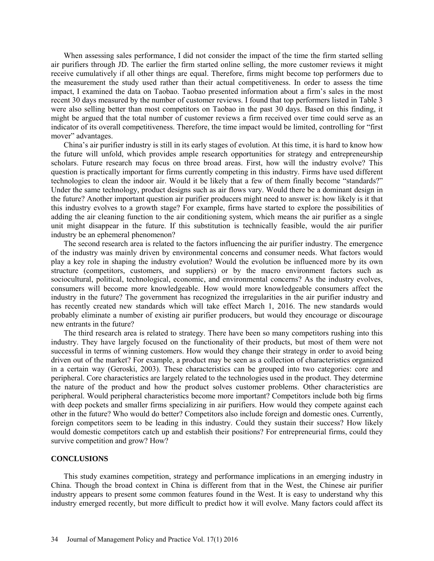When assessing sales performance, I did not consider the impact of the time the firm started selling air purifiers through JD. The earlier the firm started online selling, the more customer reviews it might receive cumulatively if all other things are equal. Therefore, firms might become top performers due to the measurement the study used rather than their actual competitiveness. In order to assess the time impact, I examined the data on Taobao. Taobao presented information about a firm's sales in the most recent 30 days measured by the number of customer reviews. I found that top performers listed in Table 3 were also selling better than most competitors on Taobao in the past 30 days. Based on this finding, it might be argued that the total number of customer reviews a firm received over time could serve as an indicator of its overall competitiveness. Therefore, the time impact would be limited, controlling for "first mover" advantages.

China's air purifier industry is still in its early stages of evolution. At this time, it is hard to know how the future will unfold, which provides ample research opportunities for strategy and entrepreneurship scholars. Future research may focus on three broad areas. First, how will the industry evolve? This question is practically important for firms currently competing in this industry. Firms have used different technologies to clean the indoor air. Would it be likely that a few of them finally become "standards?" Under the same technology, product designs such as air flows vary. Would there be a dominant design in the future? Another important question air purifier producers might need to answer is: how likely is it that this industry evolves to a growth stage? For example, firms have started to explore the possibilities of adding the air cleaning function to the air conditioning system, which means the air purifier as a single unit might disappear in the future. If this substitution is technically feasible, would the air purifier industry be an ephemeral phenomenon?

The second research area is related to the factors influencing the air purifier industry. The emergence of the industry was mainly driven by environmental concerns and consumer needs. What factors would play a key role in shaping the industry evolution? Would the evolution be influenced more by its own structure (competitors, customers, and suppliers) or by the macro environment factors such as sociocultural, political, technological, economic, and environmental concerns? As the industry evolves, consumers will become more knowledgeable. How would more knowledgeable consumers affect the industry in the future? The government has recognized the irregularities in the air purifier industry and has recently created new standards which will take effect March 1, 2016. The new standards would probably eliminate a number of existing air purifier producers, but would they encourage or discourage new entrants in the future?

The third research area is related to strategy. There have been so many competitors rushing into this industry. They have largely focused on the functionality of their products, but most of them were not successful in terms of winning customers. How would they change their strategy in order to avoid being driven out of the market? For example, a product may be seen as a collection of characteristics organized in a certain way (Geroski, 2003). These characteristics can be grouped into two categories: core and peripheral. Core characteristics are largely related to the technologies used in the product. They determine the nature of the product and how the product solves customer problems. Other characteristics are peripheral. Would peripheral characteristics become more important? Competitors include both big firms with deep pockets and smaller firms specializing in air purifiers. How would they compete against each other in the future? Who would do better? Competitors also include foreign and domestic ones. Currently, foreign competitors seem to be leading in this industry. Could they sustain their success? How likely would domestic competitors catch up and establish their positions? For entrepreneurial firms, could they survive competition and grow? How?

#### **CONCLUSIONS**

This study examines competition, strategy and performance implications in an emerging industry in China. Though the broad context in China is different from that in the West, the Chinese air purifier industry appears to present some common features found in the West. It is easy to understand why this industry emerged recently, but more difficult to predict how it will evolve. Many factors could affect its